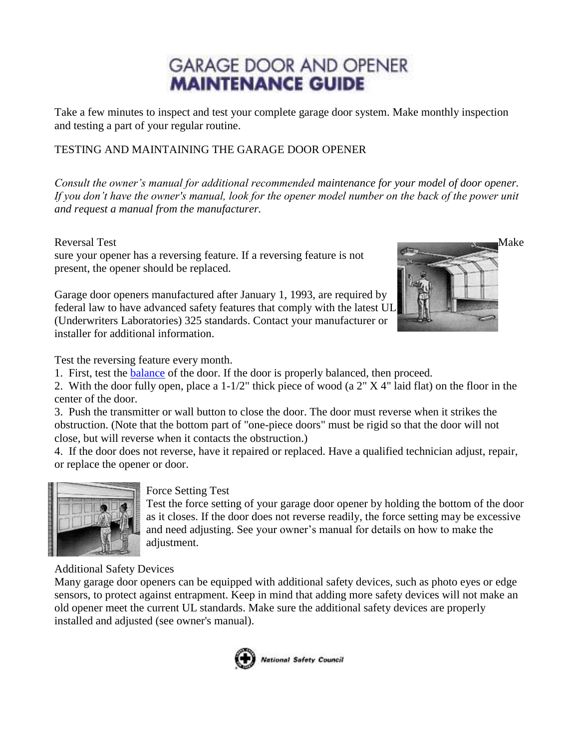# **GARAGE DOOR AND OPENER MAINTENANCE GUIDE**

Take a few minutes to inspect and test your complete garage door system. Make monthly inspection and testing a part of your regular routine.

# TESTING AND MAINTAINING THE GARAGE DOOR OPENER

*Consult the owner's manual for additional recommended maintenance for your model of door opener. If you don't have the owner's manual, look for the opener model number on the back of the power unit and request a manual from the manufacturer.*

sure your opener has a reversing feature. If a reversing feature is not present, the opener should be replaced.

Garage door openers manufactured after January 1, 1993, are required by federal law to have advanced safety features that comply with the latest UL (Underwriters Laboratories) 325 standards. Contact your manufacturer or installer for additional information.



Test the reversing feature every month.

1. First, test the [balance](http://www.dasma.com/safetygdmaint.asp#Anchor-Door-49575) of the door. If the door is properly balanced, then proceed.

2. With the door fully open, place a 1-1/2" thick piece of wood (a 2" X 4" laid flat) on the floor in the center of the door.

3. Push the transmitter or wall button to close the door. The door must reverse when it strikes the obstruction. (Note that the bottom part of "one-piece doors" must be rigid so that the door will not close, but will reverse when it contacts the obstruction.)

4. If the door does not reverse, have it repaired or replaced. Have a qualified technician adjust, repair, or replace the opener or door.



## Force Setting Test

Test the force setting of your garage door opener by holding the bottom of the door as it closes. If the door does not reverse readily, the force setting may be excessive and need adjusting. See your owner's manual for details on how to make the adjustment.

Additional Safety Devices

Many garage door openers can be equipped with additional safety devices, such as photo eyes or edge sensors, to protect against entrapment. Keep in mind that adding more safety devices will not make an old opener meet the current UL standards. Make sure the additional safety devices are properly installed and adjusted (see owner's manual).